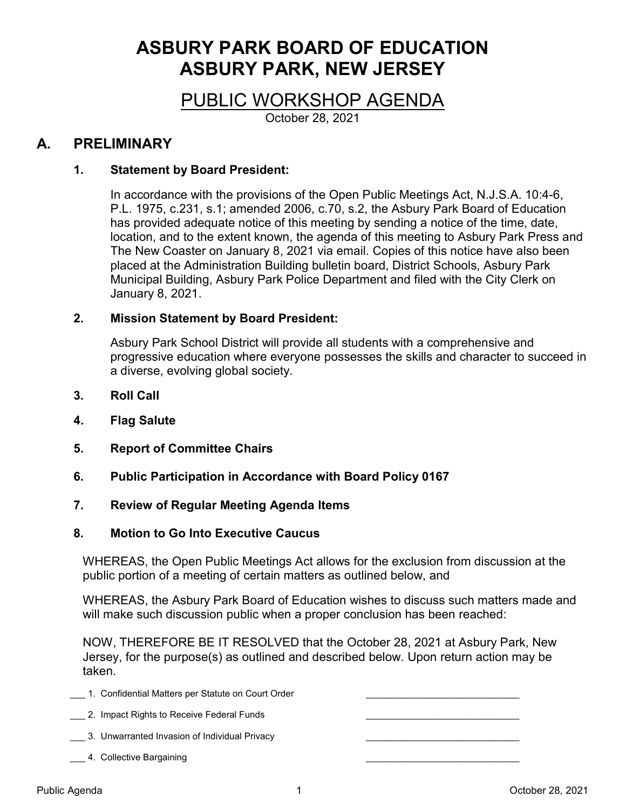# ASBURY PARK BOARD OF EDUCATION ASBURY PARK, NEW JERSEY

# PUBLIC WORKSHOP AGENDA

October 28, 2021

# A. PRELIMINARY

# 1. Statement by Board President:

In accordance with the provisions of the Open Public Meetings Act, N.J.S.A. 10:4-6, P.L. 1975, c.231, s.1; amended 2006, c.70, s.2, the Asbury Park Board of Education has provided adequate notice of this meeting by sending a notice of the time, date, location, and to the extent known, the agenda of this meeting to Asbury Park Press and The New Coaster on January 8, 2021 via email. Copies of this notice have also been placed at the Administration Building bulletin board, District Schools, Asbury Park Municipal Building, Asbury Park Police Department and filed with the City Clerk on January 8, 2021.

# 2. Mission Statement by Board President:

Asbury Park School District will provide all students with a comprehensive and progressive education where everyone possesses the skills and character to succeed in a diverse, evolving global society.

- 3. Roll Call
- 4. Flag Salute
- 5. Report of Committee Chairs
- 6. Public Participation in Accordance with Board Policy 0167
- 7. Review of Regular Meeting Agenda Items

### 8. Motion to Go Into Executive Caucus

WHEREAS, the Open Public Meetings Act allows for the exclusion from discussion at the public portion of a meeting of certain matters as outlined below, and

WHEREAS, the Asbury Park Board of Education wishes to discuss such matters made and will make such discussion public when a proper conclusion has been reached:

NOW, THEREFORE BE IT RESOLVED that the October 28, 2021 at Asbury Park, New Jersey, for the purpose(s) as outlined and described below. Upon return action may be taken.

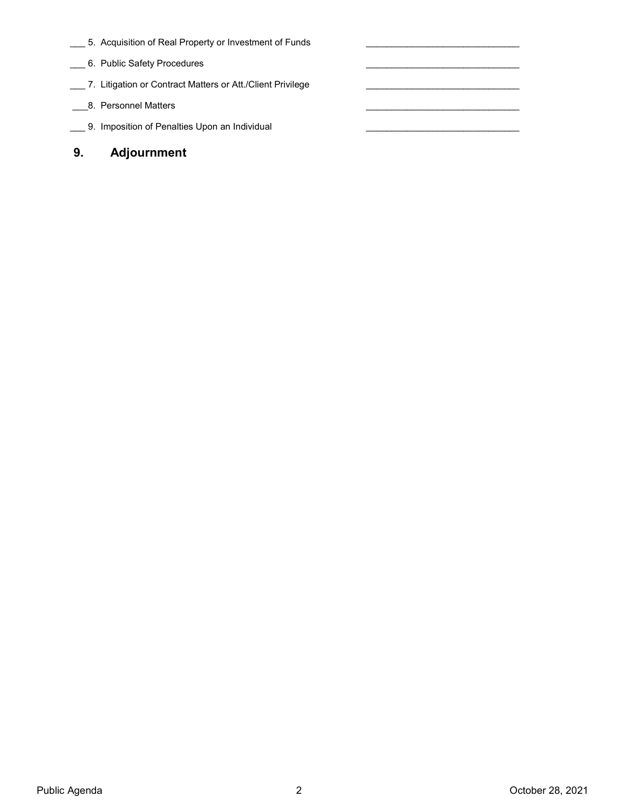\_\_\_ 5. Acquisition of Real Property or Investment of Funds

 $\mathcal{L}_\text{max}$  , and the set of the set of the set of the set of the set of the set of the set of the set of the set of the set of the set of the set of the set of the set of the set of the set of the set of the set of the

 $\mathcal{L}_\text{max}$  and  $\mathcal{L}_\text{max}$  and  $\mathcal{L}_\text{max}$  and  $\mathcal{L}_\text{max}$ 

 $\mathcal{L}_\text{max}$  , and the set of the set of the set of the set of the set of the set of the set of the set of the set of the set of the set of the set of the set of the set of the set of the set of the set of the set of the

 $\mathcal{L}_\text{max}$  , and the set of the set of the set of the set of the set of the set of the set of the set of the set of the set of the set of the set of the set of the set of the set of the set of the set of the set of the

 $\mathcal{L}_\text{max}$  , and the set of the set of the set of the set of the set of the set of the set of the set of the set of the set of the set of the set of the set of the set of the set of the set of the set of the set of the

- \_\_ 6. Public Safety Procedures
- \_\_\_ 7. Litigation or Contract Matters or Att./Client Privilege
- \_\_\_8. Personnel Matters
- \_\_\_ 9. Imposition of Penalties Upon an Individual
- 9. Adjournment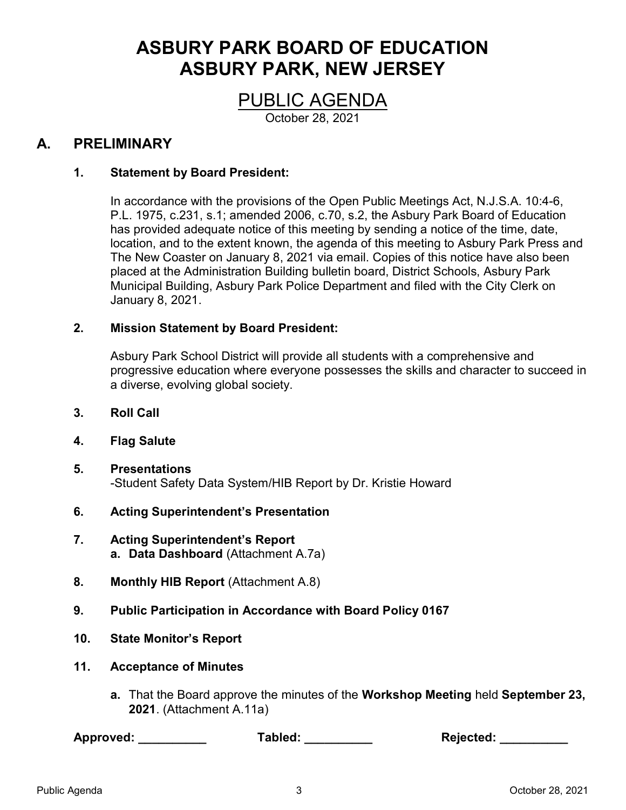# ASBURY PARK BOARD OF EDUCATION ASBURY PARK, NEW JERSEY

PUBLIC AGENDA

October 28, 2021

# A. PRELIMINARY

# 1. Statement by Board President:

In accordance with the provisions of the Open Public Meetings Act, N.J.S.A. 10:4-6, P.L. 1975, c.231, s.1; amended 2006, c.70, s.2, the Asbury Park Board of Education has provided adequate notice of this meeting by sending a notice of the time, date, location, and to the extent known, the agenda of this meeting to Asbury Park Press and The New Coaster on January 8, 2021 via email. Copies of this notice have also been placed at the Administration Building bulletin board, District Schools, Asbury Park Municipal Building, Asbury Park Police Department and filed with the City Clerk on January 8, 2021.

# 2. Mission Statement by Board President:

Asbury Park School District will provide all students with a comprehensive and progressive education where everyone possesses the skills and character to succeed in a diverse, evolving global society.

- 3. Roll Call
- 4. Flag Salute
- 5. Presentations -Student Safety Data System/HIB Report by Dr. Kristie Howard
- 6. Acting Superintendent's Presentation
- 7. Acting Superintendent's Report a. Data Dashboard (Attachment A.7a)
- 8. Monthly HIB Report (Attachment A.8)
- 9. Public Participation in Accordance with Board Policy 0167
- 10. State Monitor's Report
- 11. Acceptance of Minutes
	- a. That the Board approve the minutes of the Workshop Meeting held September 23, 2021. (Attachment A.11a)

| Approved: | Tabled: | <b>Rejected:</b> |
|-----------|---------|------------------|
|-----------|---------|------------------|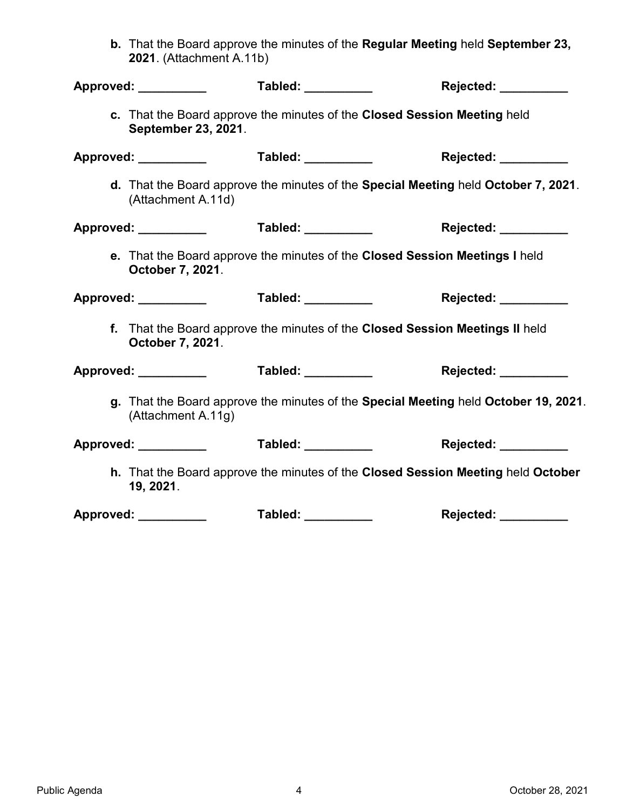b. That the Board approve the minutes of the Regular Meeting held September 23, 2021. (Attachment A.11b)

| Approved: __________                            | Tabled: __________                                                                  | Rejected: _________  |
|-------------------------------------------------|-------------------------------------------------------------------------------------|----------------------|
| September 23, 2021.                             | c. That the Board approve the minutes of the Closed Session Meeting held            |                      |
| Approved: ______________    Tabled: ___________ |                                                                                     | Rejected: __________ |
| (Attachment A.11d)                              | d. That the Board approve the minutes of the Special Meeting held October 7, 2021.  |                      |
| Approved: _____________    Tabled: ___________  |                                                                                     | Rejected: __________ |
| October 7, 2021.                                | e. That the Board approve the minutes of the Closed Session Meetings I held         |                      |
|                                                 |                                                                                     | Rejected: _________  |
| October 7, 2021.                                | f. That the Board approve the minutes of the Closed Session Meetings II held        |                      |
|                                                 |                                                                                     | Rejected: _________  |
| (Attachment A.11g)                              | g. That the Board approve the minutes of the Special Meeting held October 19, 2021. |                      |
|                                                 |                                                                                     | Rejected: _________  |
| 19, 2021.                                       | h. That the Board approve the minutes of the Closed Session Meeting held October    |                      |
| Approved: __________                            | Tabled: __________                                                                  | Rejected: _________  |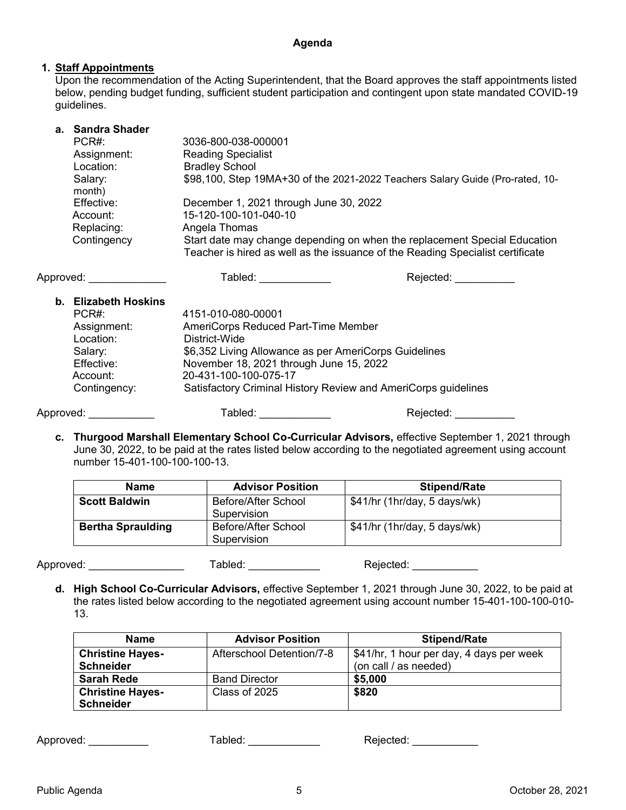### 1. Staff Appointments

Upon the recommendation of the Acting Superintendent, that the Board approves the staff appointments listed below, pending budget funding, sufficient student participation and contingent upon state mandated COVID-19 guidelines.

| a. Sandra Shader  |                                                                                                                                                             |
|-------------------|-------------------------------------------------------------------------------------------------------------------------------------------------------------|
| PCR#:             | 3036-800-038-000001                                                                                                                                         |
| Assignment:       | <b>Reading Specialist</b>                                                                                                                                   |
| Location:         | <b>Bradley School</b>                                                                                                                                       |
| Salary:<br>month) | \$98,100, Step 19MA+30 of the 2021-2022 Teachers Salary Guide (Pro-rated, 10-                                                                               |
| Effective:        | December 1, 2021 through June 30, 2022                                                                                                                      |
| Account:          | 15-120-100-101-040-10                                                                                                                                       |
| Replacing:        | Angela Thomas                                                                                                                                               |
| Contingency       | Start date may change depending on when the replacement Special Education<br>Teacher is hired as well as the issuance of the Reading Specialist certificate |

| b. Elizabeth Hoskins<br>PCR# | 4151-010-080-00001                                    |                                                                |
|------------------------------|-------------------------------------------------------|----------------------------------------------------------------|
| Assignment:                  | AmeriCorps Reduced Part-Time Member                   |                                                                |
| Location:                    | District-Wide                                         |                                                                |
| Salary:                      | \$6,352 Living Allowance as per AmeriCorps Guidelines |                                                                |
| Effective:                   | November 18, 2021 through June 15, 2022               |                                                                |
| Account:                     | 20-431-100-100-075-17                                 |                                                                |
| Contingency:                 |                                                       | Satisfactory Criminal History Review and AmeriCorps guidelines |
| Approved:                    | Tabled:                                               | Rejected:                                                      |

Approved: \_\_\_\_\_\_\_\_\_\_\_\_\_ Tabled: \_\_\_\_\_\_\_\_\_\_\_\_ Rejected: \_\_\_\_\_\_\_\_\_\_

c. Thurgood Marshall Elementary School Co-Curricular Advisors, effective September 1, 2021 through June 30, 2022, to be paid at the rates listed below according to the negotiated agreement using account number 15-401-100-100-100-13.

| <b>Name</b>              | <b>Advisor Position</b>                   | <b>Stipend/Rate</b>          |
|--------------------------|-------------------------------------------|------------------------------|
| <b>Scott Baldwin</b>     | <b>Before/After School</b><br>Supervision | \$41/hr (1hr/day, 5 days/wk) |
| <b>Bertha Spraulding</b> | <b>Before/After School</b><br>Supervision | \$41/hr (1hr/day, 5 days/wk) |

Approved: \_\_\_\_\_\_\_\_\_\_\_\_\_\_\_\_\_\_\_\_\_\_\_ Tabled: \_\_\_\_\_\_\_\_\_\_\_\_\_\_ Rejected: \_\_\_\_\_\_\_\_\_\_\_\_\_

d. High School Co-Curricular Advisors, effective September 1, 2021 through June 30, 2022, to be paid at the rates listed below according to the negotiated agreement using account number 15-401-100-100-010- 13.

| <b>Name</b>             | <b>Advisor Position</b>   | <b>Stipend/Rate</b>                      |
|-------------------------|---------------------------|------------------------------------------|
| <b>Christine Hayes-</b> | Afterschool Detention/7-8 | \$41/hr, 1 hour per day, 4 days per week |
| <b>Schneider</b>        |                           | (on call / as needed)                    |
| <b>Sarah Rede</b>       | <b>Band Director</b>      | \$5,000                                  |
| <b>Christine Hayes-</b> | Class of 2025             | \$820                                    |
| <b>Schneider</b>        |                           |                                          |

| Approved: | $\tau$ abled: | Rejected: |
|-----------|---------------|-----------|
|-----------|---------------|-----------|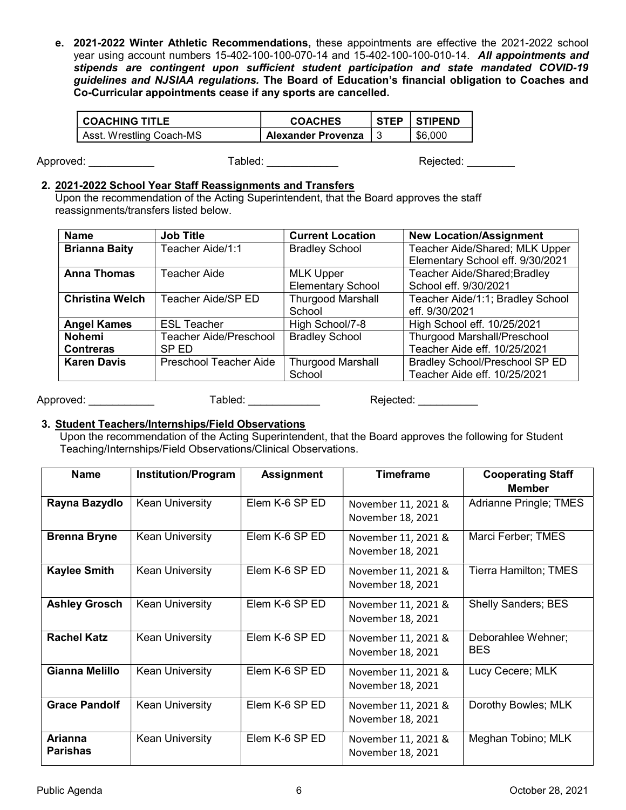e. 2021-2022 Winter Athletic Recommendations, these appointments are effective the 2021-2022 school year using account numbers 15-402-100-100-070-14 and 15-402-100-100-010-14. All appointments and stipends are contingent upon sufficient student participation and state mandated COVID-19 guidelines and NJSIAA regulations. The Board of Education's financial obligation to Coaches and Co-Curricular appointments cease if any sports are cancelled.

| <b>COACHING TITLE</b>    | <b>COACHES</b>            | STEP   STIPEND |
|--------------------------|---------------------------|----------------|
| Asst. Wrestling Coach-MS | <b>Alexander Provenza</b> | \$6.000        |

Approved: \_\_\_\_\_\_\_\_\_\_\_\_\_\_\_\_ Tabled: \_\_\_\_\_\_\_\_\_\_\_\_\_\_ Rejected: \_\_\_\_\_\_\_\_

### 2. 2021-2022 School Year Staff Reassignments and Transfers

Upon the recommendation of the Acting Superintendent, that the Board approves the staff reassignments/transfers listed below.

| <b>Name</b>            | <b>Job Title</b>              | <b>Current Location</b>  | <b>New Location/Assignment</b>        |
|------------------------|-------------------------------|--------------------------|---------------------------------------|
| <b>Brianna Baity</b>   | Teacher Aide/1:1              | <b>Bradley School</b>    | Teacher Aide/Shared; MLK Upper        |
|                        |                               |                          | Elementary School eff. 9/30/2021      |
| <b>Anna Thomas</b>     | <b>Teacher Aide</b>           | <b>MLK Upper</b>         | Teacher Aide/Shared; Bradley          |
|                        |                               | <b>Elementary School</b> | School eff. 9/30/2021                 |
| <b>Christina Welch</b> | Teacher Aide/SP ED            | <b>Thurgood Marshall</b> | Teacher Aide/1:1; Bradley School      |
|                        |                               | School                   | eff. 9/30/2021                        |
| <b>Angel Kames</b>     | <b>ESL Teacher</b>            | High School/7-8          | High School eff. 10/25/2021           |
| <b>Nohemi</b>          | <b>Teacher Aide/Preschool</b> | <b>Bradley School</b>    | <b>Thurgood Marshall/Preschool</b>    |
| <b>Contreras</b>       | SP ED                         |                          | Teacher Aide eff. 10/25/2021          |
| <b>Karen Davis</b>     | <b>Preschool Teacher Aide</b> | <b>Thurgood Marshall</b> | <b>Bradley School/Preschool SP ED</b> |
|                        |                               | School                   | Teacher Aide eff. 10/25/2021          |
|                        |                               |                          |                                       |

Approved: etc. and a state of the Tabled: the Tabled: etc. and Rejected:  $\blacksquare$ 

### 3. Student Teachers/Internships/Field Observations

Upon the recommendation of the Acting Superintendent, that the Board approves the following for Student Teaching/Internships/Field Observations/Clinical Observations.

| <b>Name</b>                | <b>Institution/Program</b> | <b>Assignment</b> | <b>Timeframe</b>                         | <b>Cooperating Staff</b>         |
|----------------------------|----------------------------|-------------------|------------------------------------------|----------------------------------|
|                            |                            |                   |                                          | <b>Member</b>                    |
| Rayna Bazydlo              | <b>Kean University</b>     | Elem K-6 SP ED    | November 11, 2021 &<br>November 18, 2021 | Adrianne Pringle; TMES           |
| <b>Brenna Bryne</b>        | <b>Kean University</b>     | Elem K-6 SP ED    | November 11, 2021 &<br>November 18, 2021 | Marci Ferber; TMES               |
| <b>Kaylee Smith</b>        | <b>Kean University</b>     | Elem K-6 SP ED    | November 11, 2021 &<br>November 18, 2021 | <b>Tierra Hamilton; TMES</b>     |
| <b>Ashley Grosch</b>       | <b>Kean University</b>     | Elem K-6 SP ED    | November 11, 2021 &<br>November 18, 2021 | <b>Shelly Sanders; BES</b>       |
| <b>Rachel Katz</b>         | <b>Kean University</b>     | Elem K-6 SP ED    | November 11, 2021 &<br>November 18, 2021 | Deborahlee Wehner;<br><b>BES</b> |
| Gianna Melillo             | <b>Kean University</b>     | Elem K-6 SP ED    | November 11, 2021 &<br>November 18, 2021 | Lucy Cecere; MLK                 |
| <b>Grace Pandolf</b>       | <b>Kean University</b>     | Elem K-6 SP ED    | November 11, 2021 &<br>November 18, 2021 | Dorothy Bowles; MLK              |
| Arianna<br><b>Parishas</b> | <b>Kean University</b>     | Elem K-6 SP ED    | November 11, 2021 &<br>November 18, 2021 | Meghan Tobino; MLK               |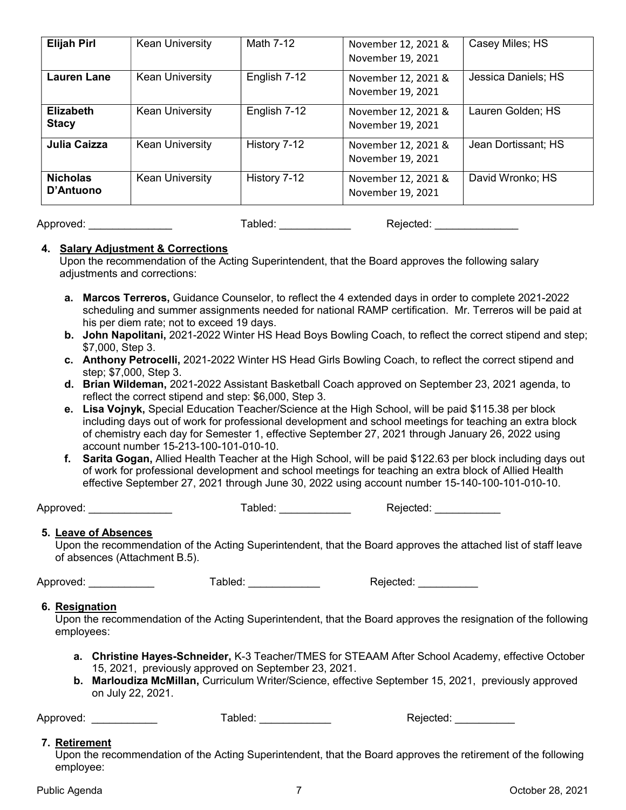| <b>Elijah Pirl</b>               | <b>Kean University</b> | Math 7-12    | November 12, 2021 &<br>November 19, 2021 | Casey Miles; HS     |
|----------------------------------|------------------------|--------------|------------------------------------------|---------------------|
| <b>Lauren Lane</b>               | <b>Kean University</b> | English 7-12 | November 12, 2021 &<br>November 19, 2021 | Jessica Daniels; HS |
| <b>Elizabeth</b><br><b>Stacy</b> | <b>Kean University</b> | English 7-12 | November 12, 2021 &<br>November 19, 2021 | Lauren Golden; HS   |
| Julia Caizza                     | <b>Kean University</b> | History 7-12 | November 12, 2021 &<br>November 19, 2021 | Jean Dortissant; HS |
| <b>Nicholas</b><br>D'Antuono     | <b>Kean University</b> | History 7-12 | November 12, 2021 &<br>November 19, 2021 | David Wronko; HS    |

Approved: \_\_\_\_\_\_\_\_\_\_\_\_\_\_ Tabled: \_\_\_\_\_\_\_\_\_\_\_\_ Rejected: \_\_\_\_\_\_\_\_\_\_\_\_\_\_

#### 4. Salary Adjustment & Corrections

Upon the recommendation of the Acting Superintendent, that the Board approves the following salary adjustments and corrections:

- a. Marcos Terreros, Guidance Counselor, to reflect the 4 extended days in order to complete 2021-2022 scheduling and summer assignments needed for national RAMP certification. Mr. Terreros will be paid at his per diem rate; not to exceed 19 days.
- b. John Napolitani, 2021-2022 Winter HS Head Boys Bowling Coach, to reflect the correct stipend and step; \$7,000, Step 3.
- c. Anthony Petrocelli, 2021-2022 Winter HS Head Girls Bowling Coach, to reflect the correct stipend and step; \$7,000, Step 3.
- d. Brian Wildeman, 2021-2022 Assistant Basketball Coach approved on September 23, 2021 agenda, to reflect the correct stipend and step: \$6,000, Step 3.
- e. Lisa Vojnyk, Special Education Teacher/Science at the High School, will be paid \$115.38 per block including days out of work for professional development and school meetings for teaching an extra block of chemistry each day for Semester 1, effective September 27, 2021 through January 26, 2022 using account number 15-213-100-101-010-10.
- f. Sarita Gogan, Allied Health Teacher at the High School, will be paid \$122.63 per block including days out of work for professional development and school meetings for teaching an extra block of Allied Health effective September 27, 2021 through June 30, 2022 using account number 15-140-100-101-010-10.

Approved: \_\_\_\_\_\_\_\_\_\_\_\_\_\_ Tabled: \_\_\_\_\_\_\_\_\_\_\_\_ Rejected: \_\_\_\_\_\_\_\_\_\_\_

### 5. Leave of Absences

Upon the recommendation of the Acting Superintendent, that the Board approves the attached list of staff leave of absences (Attachment B.5).

Approved: \_\_\_\_\_\_\_\_\_\_\_ Tabled: \_\_\_\_\_\_\_\_\_\_\_\_ Rejected: \_\_\_\_\_\_\_\_\_\_

### 6. Resignation

Upon the recommendation of the Acting Superintendent, that the Board approves the resignation of the following employees:

- a. Christine Hayes-Schneider, K-3 Teacher/TMES for STEAAM After School Academy, effective October 15, 2021, previously approved on September 23, 2021.
- b. Marloudiza McMillan, Curriculum Writer/Science, effective September 15, 2021, previously approved on July 22, 2021.

Approved: etc. Approved: etc. Approved: etc. Approved:  $\blacksquare$  Tabled:  $\blacksquare$  Rejected:  $\blacksquare$ 

### 7. Retirement

Upon the recommendation of the Acting Superintendent, that the Board approves the retirement of the following employee: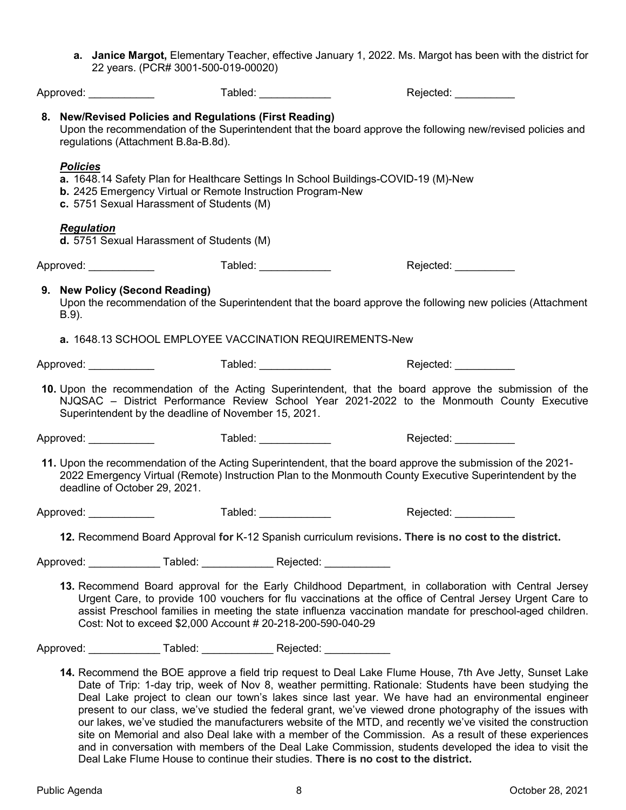| a. Janice Margot, Elementary Teacher, effective January 1, 2022. Ms. Margot has been with the district for |  |
|------------------------------------------------------------------------------------------------------------|--|
| 22 years. (PCR# 3001-500-019-00020)                                                                        |  |

| Approved: ____________                     |                                                                                                | Tabled: ___________                                                   | Rejected: __________                                                                                                                                                                                                                                                                                                                                                                                                               |
|--------------------------------------------|------------------------------------------------------------------------------------------------|-----------------------------------------------------------------------|------------------------------------------------------------------------------------------------------------------------------------------------------------------------------------------------------------------------------------------------------------------------------------------------------------------------------------------------------------------------------------------------------------------------------------|
|                                            | 8. New/Revised Policies and Regulations (First Reading)<br>regulations (Attachment B.8a-B.8d). |                                                                       | Upon the recommendation of the Superintendent that the board approve the following new/revised policies and                                                                                                                                                                                                                                                                                                                        |
| <b>Policies</b>                            | c. 5751 Sexual Harassment of Students (M)                                                      | b. 2425 Emergency Virtual or Remote Instruction Program-New           | a. 1648.14 Safety Plan for Healthcare Settings In School Buildings-COVID-19 (M)-New                                                                                                                                                                                                                                                                                                                                                |
| <b>Regulation</b>                          | d. 5751 Sexual Harassment of Students (M)                                                      |                                                                       |                                                                                                                                                                                                                                                                                                                                                                                                                                    |
| Approved: _____________                    |                                                                                                | Tabled: _____________                                                 | Rejected: ___________                                                                                                                                                                                                                                                                                                                                                                                                              |
| 9. New Policy (Second Reading)<br>$B.9$ ). |                                                                                                |                                                                       | Upon the recommendation of the Superintendent that the board approve the following new policies (Attachment                                                                                                                                                                                                                                                                                                                        |
|                                            |                                                                                                | a. 1648.13 SCHOOL EMPLOYEE VACCINATION REQUIREMENTS-New               |                                                                                                                                                                                                                                                                                                                                                                                                                                    |
|                                            |                                                                                                | Approved: _______________      Tabled: _______________                | Rejected: __________                                                                                                                                                                                                                                                                                                                                                                                                               |
|                                            | Superintendent by the deadline of November 15, 2021.                                           |                                                                       | 10. Upon the recommendation of the Acting Superintendent, that the board approve the submission of the<br>NJQSAC - District Performance Review School Year 2021-2022 to the Monmouth County Executive                                                                                                                                                                                                                              |
|                                            |                                                                                                |                                                                       | Approved: ______________      Tabled: ______________      Rejected: ____________                                                                                                                                                                                                                                                                                                                                                   |
| deadline of October 29, 2021.              |                                                                                                |                                                                       | 11. Upon the recommendation of the Acting Superintendent, that the board approve the submission of the 2021-<br>2022 Emergency Virtual (Remote) Instruction Plan to the Monmouth County Executive Superintendent by the                                                                                                                                                                                                            |
|                                            |                                                                                                | Approved: _______________      Tabled: ______________                 | Rejected: __________                                                                                                                                                                                                                                                                                                                                                                                                               |
|                                            |                                                                                                |                                                                       | 12. Recommend Board Approval for K-12 Spanish curriculum revisions. There is no cost to the district.                                                                                                                                                                                                                                                                                                                              |
|                                            |                                                                                                | Approved: _______________ Tabled: _____________ Rejected: ___________ |                                                                                                                                                                                                                                                                                                                                                                                                                                    |
|                                            |                                                                                                | Cost: Not to exceed \$2,000 Account # 20-218-200-590-040-29           | 13. Recommend Board approval for the Early Childhood Department, in collaboration with Central Jersey<br>Urgent Care, to provide 100 vouchers for flu vaccinations at the office of Central Jersey Urgent Care to<br>assist Preschool families in meeting the state influenza vaccination mandate for preschool-aged children.                                                                                                     |
|                                            |                                                                                                | Approved: _______________ Tabled: _____________ Rejected: ___________ |                                                                                                                                                                                                                                                                                                                                                                                                                                    |
|                                            |                                                                                                |                                                                       | 14. Recommend the BOE approve a field trip request to Deal Lake Flume House, 7th Ave Jetty, Sunset Lake<br>Date of Trip: 1-day trip, week of Nov 8, weather permitting. Rationale: Students have been studying the<br>Deal Lake project to clean our town's lakes since last year. We have had an environmental engineer<br>present to our class we've studied the federal grapt we've viewed drope photography of the issues with |

present to our class, we've studied the federal grant, we've viewed drone photography of the issues with our lakes, we've studied the manufacturers website of the MTD, and recently we've visited the construction site on Memorial and also Deal lake with a member of the Commission. As a result of these experiences and in conversation with members of the Deal Lake Commission, students developed the idea to visit the Deal Lake Flume House to continue their studies. There is no cost to the district.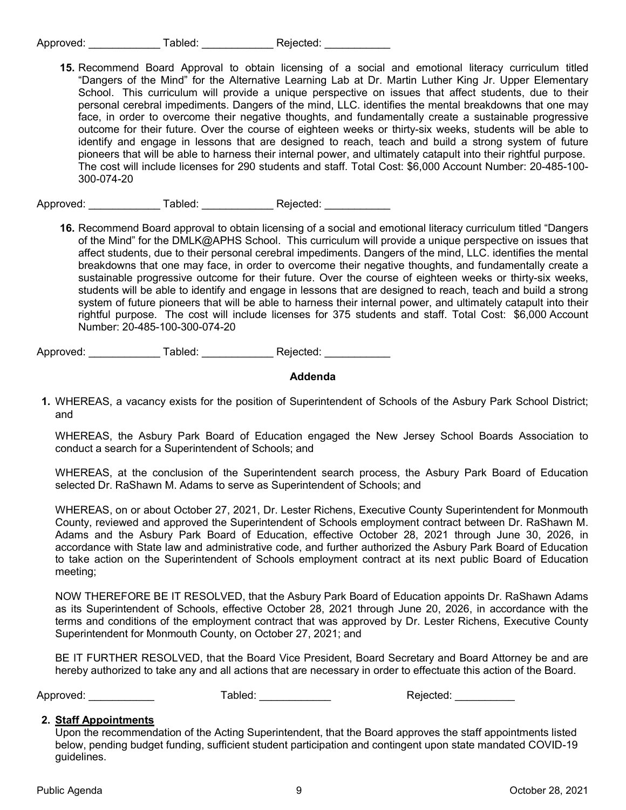| Approved: | Tabled: | Rejected: |
|-----------|---------|-----------|
|-----------|---------|-----------|

15. Recommend Board Approval to obtain licensing of a social and emotional literacy curriculum titled "Dangers of the Mind" for the Alternative Learning Lab at Dr. Martin Luther King Jr. Upper Elementary School. This curriculum will provide a unique perspective on issues that affect students, due to their personal cerebral impediments. Dangers of the mind, LLC. identifies the mental breakdowns that one may face, in order to overcome their negative thoughts, and fundamentally create a sustainable progressive outcome for their future. Over the course of eighteen weeks or thirty-six weeks, students will be able to identify and engage in lessons that are designed to reach, teach and build a strong system of future pioneers that will be able to harness their internal power, and ultimately catapult into their rightful purpose. The cost will include licenses for 290 students and staff. Total Cost: \$6,000 Account Number: 20-485-100- 300-074-20

Approved: Tabled: Tabled: Rejected:

16. Recommend Board approval to obtain licensing of a social and emotional literacy curriculum titled "Dangers of the Mind" for the DMLK@APHS School. This curriculum will provide a unique perspective on issues that affect students, due to their personal cerebral impediments. Dangers of the mind, LLC. identifies the mental breakdowns that one may face, in order to overcome their negative thoughts, and fundamentally create a sustainable progressive outcome for their future. Over the course of eighteen weeks or thirty-six weeks, students will be able to identify and engage in lessons that are designed to reach, teach and build a strong system of future pioneers that will be able to harness their internal power, and ultimately catapult into their rightful purpose. The cost will include licenses for 375 students and staff. Total Cost: \$6,000 Account Number: 20-485-100-300-074-20

Approved: \_\_\_\_\_\_\_\_\_\_\_\_ Tabled: \_\_\_\_\_\_\_\_\_\_\_\_ Rejected: \_\_\_\_\_\_\_\_\_\_\_

### Addenda

1. WHEREAS, a vacancy exists for the position of Superintendent of Schools of the Asbury Park School District; and

WHEREAS, the Asbury Park Board of Education engaged the New Jersey School Boards Association to conduct a search for a Superintendent of Schools; and

WHEREAS, at the conclusion of the Superintendent search process, the Asbury Park Board of Education selected Dr. RaShawn M. Adams to serve as Superintendent of Schools; and

 WHEREAS, on or about October 27, 2021, Dr. Lester Richens, Executive County Superintendent for Monmouth County, reviewed and approved the Superintendent of Schools employment contract between Dr. RaShawn M. Adams and the Asbury Park Board of Education, effective October 28, 2021 through June 30, 2026, in accordance with State law and administrative code, and further authorized the Asbury Park Board of Education to take action on the Superintendent of Schools employment contract at its next public Board of Education meeting;

NOW THEREFORE BE IT RESOLVED, that the Asbury Park Board of Education appoints Dr. RaShawn Adams as its Superintendent of Schools, effective October 28, 2021 through June 20, 2026, in accordance with the terms and conditions of the employment contract that was approved by Dr. Lester Richens, Executive County Superintendent for Monmouth County, on October 27, 2021; and

BE IT FURTHER RESOLVED, that the Board Vice President, Board Secretary and Board Attorney be and are hereby authorized to take any and all actions that are necessary in order to effectuate this action of the Board.

Approved: etc. Approved: etc. Approved: etc. Approved:  $\blacksquare$   $\blacksquare$   $\blacksquare$   $\blacksquare$   $\blacksquare$   $\blacksquare$   $\blacksquare$   $\blacksquare$   $\blacksquare$   $\blacksquare$   $\blacksquare$   $\blacksquare$   $\blacksquare$   $\blacksquare$   $\blacksquare$   $\blacksquare$   $\blacksquare$   $\blacksquare$   $\blacksquare$   $\blacksquare$   $\blacksquare$   $\blacksquare$   $\blacksquare$   $\blacksquare$ 

#### 2. Staff Appointments

Upon the recommendation of the Acting Superintendent, that the Board approves the staff appointments listed below, pending budget funding, sufficient student participation and contingent upon state mandated COVID-19 guidelines.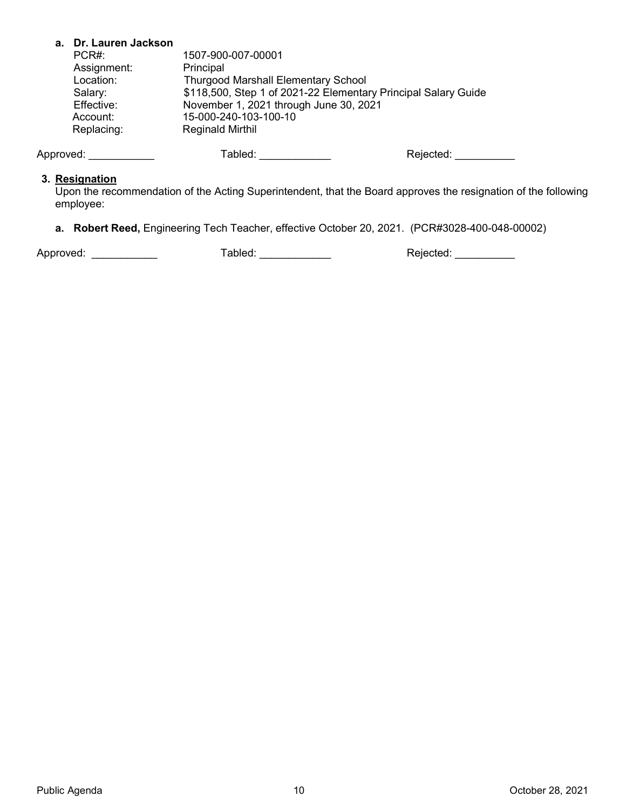#### a. Dr. Lauren Jackson

| PCR#:       | 1507-900-007-00001                                             |
|-------------|----------------------------------------------------------------|
| Assignment: | Principal                                                      |
| Location:   | <b>Thurgood Marshall Elementary School</b>                     |
| Salary:     | \$118,500, Step 1 of 2021-22 Elementary Principal Salary Guide |
| Effective:  | November 1, 2021 through June 30, 2021                         |
| Account:    | 15-000-240-103-100-10                                          |
| Replacing:  | <b>Reginald Mirthil</b>                                        |
|             |                                                                |

Approved: \_\_\_\_\_\_\_\_\_\_\_\_\_\_ Tabled: \_\_\_\_\_\_\_\_\_\_\_\_\_ Rejected: \_\_\_\_\_\_\_\_\_\_\_\_\_\_

#### 3. Resignation

Upon the recommendation of the Acting Superintendent, that the Board approves the resignation of the following employee:

a. Robert Reed, Engineering Tech Teacher, effective October 20, 2021. (PCR#3028-400-048-00002)

Approved: \_\_\_\_\_\_\_\_\_\_\_\_\_\_\_\_ Tabled: \_\_\_\_\_\_\_\_\_\_\_\_\_\_\_ Rejected: \_\_\_\_\_\_\_\_\_\_\_\_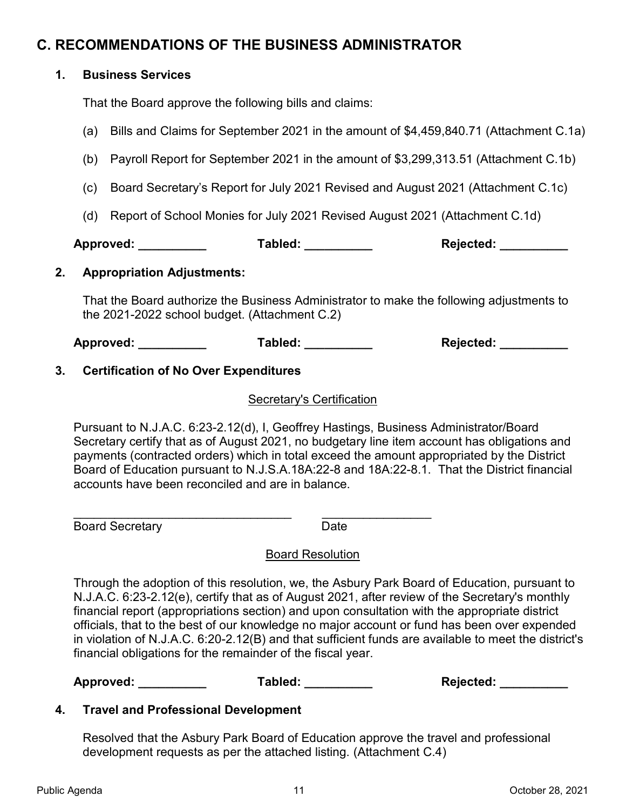# C. RECOMMENDATIONS OF THE BUSINESS ADMINISTRATOR

# 1. Business Services

That the Board approve the following bills and claims:

- (a) Bills and Claims for September 2021 in the amount of \$4,459,840.71 (Attachment C.1a)
- (b) Payroll Report for September 2021 in the amount of \$3,299,313.51 (Attachment C.1b)
- (c) Board Secretary's Report for July 2021 Revised and August 2021 (Attachment C.1c)
- (d) Report of School Monies for July 2021 Revised August 2021 (Attachment C.1d)

| Approved: | Tabled: | <b>Rejected:</b> |
|-----------|---------|------------------|
|           |         |                  |

### 2. Appropriation Adjustments:

That the Board authorize the Business Administrator to make the following adjustments to the 2021-2022 school budget. (Attachment C.2)

Approved: \_\_\_\_\_\_\_\_\_\_ Tabled: \_\_\_\_\_\_\_\_\_\_ Rejected: \_\_\_\_\_\_\_\_\_\_

# 3. Certification of No Over Expenditures

### Secretary's Certification

Pursuant to N.J.A.C. 6:23-2.12(d), I, Geoffrey Hastings, Business Administrator/Board Secretary certify that as of August 2021, no budgetary line item account has obligations and payments (contracted orders) which in total exceed the amount appropriated by the District Board of Education pursuant to N.J.S.A.18A:22-8 and 18A:22-8.1. That the District financial accounts have been reconciled and are in balance.

Board Secretary **Date Date** 

 $\mathcal{L}_\text{max}$  , and the contract of the contract of the contract of the contract of the contract of the contract of the contract of the contract of the contract of the contract of the contract of the contract of the contr

# Board Resolution

Through the adoption of this resolution, we, the Asbury Park Board of Education, pursuant to N.J.A.C. 6:23-2.12(e), certify that as of August 2021, after review of the Secretary's monthly financial report (appropriations section) and upon consultation with the appropriate district officials, that to the best of our knowledge no major account or fund has been over expended in violation of N.J.A.C. 6:20-2.12(B) and that sufficient funds are available to meet the district's financial obligations for the remainder of the fiscal year.

Approved: Tabled: Tabled: Rejected:  $\blacksquare$ 

### 4. Travel and Professional Development

Resolved that the Asbury Park Board of Education approve the travel and professional development requests as per the attached listing. (Attachment C.4)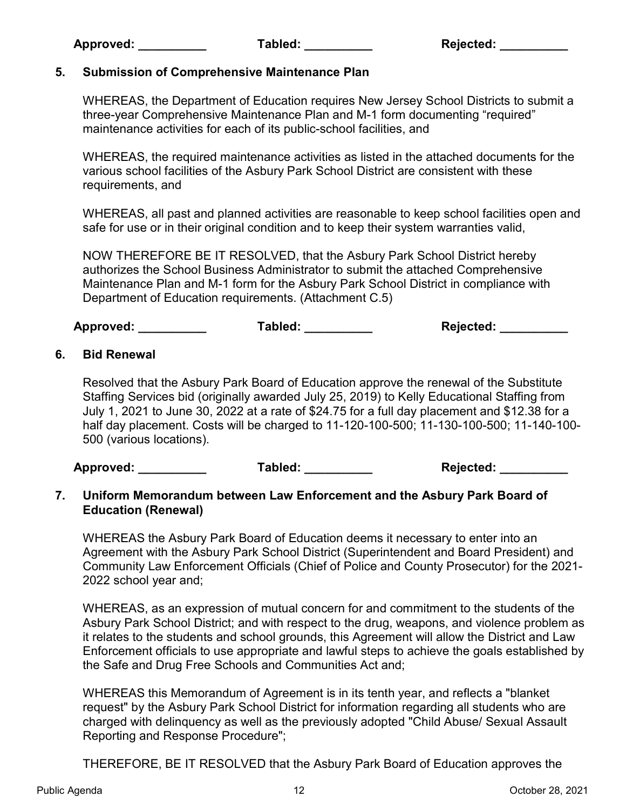# 5. Submission of Comprehensive Maintenance Plan

WHEREAS, the Department of Education requires New Jersey School Districts to submit a three-year Comprehensive Maintenance Plan and M-1 form documenting "required" maintenance activities for each of its public-school facilities, and

WHEREAS, the required maintenance activities as listed in the attached documents for the various school facilities of the Asbury Park School District are consistent with these requirements, and

WHEREAS, all past and planned activities are reasonable to keep school facilities open and safe for use or in their original condition and to keep their system warranties valid,

 NOW THEREFORE BE IT RESOLVED, that the Asbury Park School District hereby authorizes the School Business Administrator to submit the attached Comprehensive Maintenance Plan and M-1 form for the Asbury Park School District in compliance with Department of Education requirements. (Attachment C.5)

Approved: \_\_\_\_\_\_\_\_\_\_\_\_\_\_ Tabled: \_\_\_\_\_\_\_\_\_\_\_\_ Rejected: \_\_\_\_\_\_\_\_\_\_\_

# 6. Bid Renewal

Resolved that the Asbury Park Board of Education approve the renewal of the Substitute Staffing Services bid (originally awarded July 25, 2019) to Kelly Educational Staffing from July 1, 2021 to June 30, 2022 at a rate of \$24.75 for a full day placement and \$12.38 for a half day placement. Costs will be charged to 11-120-100-500; 11-130-100-500; 11-140-100- 500 (various locations).

Approved: \_\_\_\_\_\_\_\_\_\_ Tabled: \_\_\_\_\_\_\_\_\_\_ Rejected: \_\_\_\_\_\_\_\_\_\_

### 7. Uniform Memorandum between Law Enforcement and the Asbury Park Board of Education (Renewal)

WHEREAS the Asbury Park Board of Education deems it necessary to enter into an Agreement with the Asbury Park School District (Superintendent and Board President) and Community Law Enforcement Officials (Chief of Police and County Prosecutor) for the 2021- 2022 school year and;

WHEREAS, as an expression of mutual concern for and commitment to the students of the Asbury Park School District; and with respect to the drug, weapons, and violence problem as it relates to the students and school grounds, this Agreement will allow the District and Law Enforcement officials to use appropriate and lawful steps to achieve the goals established by the Safe and Drug Free Schools and Communities Act and;

WHEREAS this Memorandum of Agreement is in its tenth year, and reflects a "blanket request" by the Asbury Park School District for information regarding all students who are charged with delinquency as well as the previously adopted "Child Abuse/ Sexual Assault Reporting and Response Procedure";

THEREFORE, BE IT RESOLVED that the Asbury Park Board of Education approves the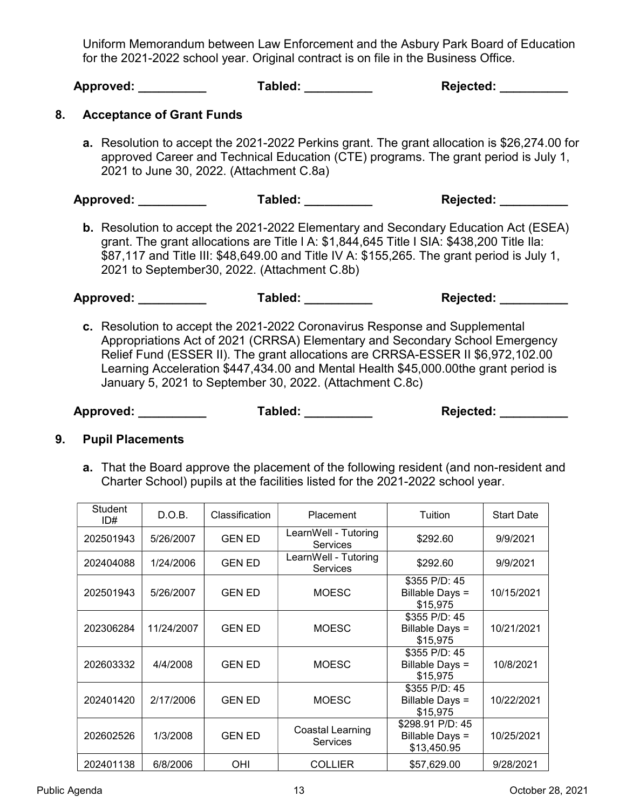Uniform Memorandum between Law Enforcement and the Asbury Park Board of Education for the 2021-2022 school year. Original contract is on file in the Business Office.

|    | Approved: __________             | Tabled: __________                                       | Rejected: __________                                                                                                                                                                                                                                                                                                                  |
|----|----------------------------------|----------------------------------------------------------|---------------------------------------------------------------------------------------------------------------------------------------------------------------------------------------------------------------------------------------------------------------------------------------------------------------------------------------|
| 8. | <b>Acceptance of Grant Funds</b> |                                                          |                                                                                                                                                                                                                                                                                                                                       |
|    |                                  | 2021 to June 30, 2022. (Attachment C.8a)                 | <b>a.</b> Resolution to accept the 2021-2022 Perkins grant. The grant allocation is \$26,274.00 for<br>approved Career and Technical Education (CTE) programs. The grant period is July 1,                                                                                                                                            |
|    | Approved: __________             | Tabled: ___________                                      | Rejected: _________                                                                                                                                                                                                                                                                                                                   |
|    |                                  | 2021 to September30, 2022. (Attachment C.8b)             | <b>b.</b> Resolution to accept the 2021-2022 Elementary and Secondary Education Act (ESEA)<br>grant. The grant allocations are Title   A: \$1,844,645 Title   SIA: \$438,200 Title Ila:<br>\$87,117 and Title III: \$48,649.00 and Title IV A: \$155,265. The grant period is July 1,                                                 |
|    |                                  |                                                          | Rejected: _________                                                                                                                                                                                                                                                                                                                   |
|    |                                  | January 5, 2021 to September 30, 2022. (Attachment C.8c) | c. Resolution to accept the 2021-2022 Coronavirus Response and Supplemental<br>Appropriations Act of 2021 (CRRSA) Elementary and Secondary School Emergency<br>Relief Fund (ESSER II). The grant allocations are CRRSA-ESSER II \$6,972,102.00<br>Learning Acceleration \$447,434.00 and Mental Health \$45,000.00the grant period is |

Approved: \_\_\_\_\_\_\_\_\_\_\_\_\_\_\_ Tabled: \_\_\_\_\_\_\_\_\_\_ Rejected: \_\_\_\_\_\_\_\_\_

### 9. Pupil Placements

a. That the Board approve the placement of the following resident (and non-resident and Charter School) pupils at the facilities listed for the 2021-2022 school year.

| Student<br>ID# | D.O.B.     | Classification | Placement                               | Tuition                                            | <b>Start Date</b> |
|----------------|------------|----------------|-----------------------------------------|----------------------------------------------------|-------------------|
| 202501943      | 5/26/2007  | <b>GEN ED</b>  | LearnWell - Tutoring<br>Services        | \$292.60                                           | 9/9/2021          |
| 202404088      | 1/24/2006  | <b>GEN ED</b>  | LearnWell - Tutoring<br><b>Services</b> | \$292.60                                           | 9/9/2021          |
| 202501943      | 5/26/2007  | <b>GEN ED</b>  | <b>MOESC</b>                            | \$355 P/D: 45<br>Billable Days =<br>\$15,975       | 10/15/2021        |
| 202306284      | 11/24/2007 | <b>GEN ED</b>  | <b>MOESC</b>                            | \$355 P/D: 45<br>Billable Days =<br>\$15,975       | 10/21/2021        |
| 202603332      | 4/4/2008   | <b>GEN ED</b>  | <b>MOESC</b>                            | \$355 P/D: 45<br>Billable Days =<br>\$15,975       | 10/8/2021         |
| 202401420      | 2/17/2006  | <b>GEN ED</b>  | <b>MOESC</b>                            | \$355 P/D: 45<br>Billable Days =<br>\$15,975       | 10/22/2021        |
| 202602526      | 1/3/2008   | <b>GEN ED</b>  | Coastal Learning<br><b>Services</b>     | \$298.91 P/D: 45<br>Billable Days =<br>\$13,450.95 | 10/25/2021        |
| 202401138      | 6/8/2006   | OHI            | <b>COLLIER</b>                          | \$57,629.00                                        | 9/28/2021         |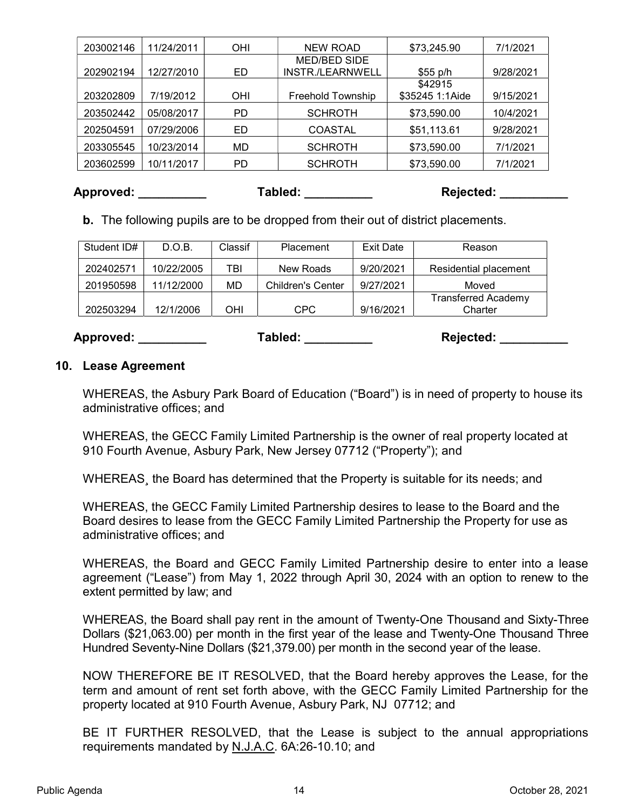| 203002146 | 11/24/2011 | <b>OHI</b> | <b>NEW ROAD</b>          | \$73,245.90     | 7/1/2021  |
|-----------|------------|------------|--------------------------|-----------------|-----------|
|           |            |            | MED/BED SIDE             |                 |           |
| 202902194 | 12/27/2010 | ED         | <b>INSTR./LEARNWELL</b>  | $$55$ p/h       | 9/28/2021 |
|           |            |            |                          | \$42915         |           |
| 203202809 | 7/19/2012  | OHI        | <b>Freehold Township</b> | \$35245 1:1Aide | 9/15/2021 |
| 203502442 | 05/08/2017 | PD         | <b>SCHROTH</b>           | \$73,590.00     | 10/4/2021 |
| 202504591 | 07/29/2006 | ED         | <b>COASTAL</b>           | \$51,113.61     | 9/28/2021 |
| 203305545 | 10/23/2014 | MD         | <b>SCHROTH</b>           | \$73,590.00     | 7/1/2021  |
| 203602599 | 10/11/2017 | PD.        | <b>SCHROTH</b>           | \$73,590.00     | 7/1/2021  |

Approved: \_\_\_\_\_\_\_\_\_\_ Tabled: \_\_\_\_\_\_\_\_\_\_ Rejected: \_\_\_\_\_\_\_\_\_\_

b. The following pupils are to be dropped from their out of district placements.

| Student ID# | D.O.B.     | Classif | Placement                | Exit Date | Reason                                |
|-------------|------------|---------|--------------------------|-----------|---------------------------------------|
| 202402571   | 10/22/2005 | TBI     | New Roads                | 9/20/2021 | Residential placement                 |
| 201950598   | 11/12/2000 | MD      | <b>Children's Center</b> | 9/27/2021 | Moved                                 |
| 202503294   | 12/1/2006  | OHI     | CPC                      | 9/16/2021 | <b>Transferred Academy</b><br>Charter |

Approved: \_\_\_\_\_\_\_\_\_\_\_\_\_\_ Tabled: \_\_\_\_\_\_\_\_\_\_ Rejected: \_\_\_\_\_\_\_\_\_

# 10. Lease Agreement

WHEREAS, the Asbury Park Board of Education ("Board") is in need of property to house its administrative offices; and

WHEREAS, the GECC Family Limited Partnership is the owner of real property located at 910 Fourth Avenue, Asbury Park, New Jersey 07712 ("Property"); and

WHEREAS¸ the Board has determined that the Property is suitable for its needs; and

WHEREAS, the GECC Family Limited Partnership desires to lease to the Board and the Board desires to lease from the GECC Family Limited Partnership the Property for use as administrative offices; and

WHEREAS, the Board and GECC Family Limited Partnership desire to enter into a lease agreement ("Lease") from May 1, 2022 through April 30, 2024 with an option to renew to the extent permitted by law; and

WHEREAS, the Board shall pay rent in the amount of Twenty-One Thousand and Sixty-Three Dollars (\$21,063.00) per month in the first year of the lease and Twenty-One Thousand Three Hundred Seventy-Nine Dollars (\$21,379.00) per month in the second year of the lease.

NOW THEREFORE BE IT RESOLVED, that the Board hereby approves the Lease, for the term and amount of rent set forth above, with the GECC Family Limited Partnership for the property located at 910 Fourth Avenue, Asbury Park, NJ 07712; and

BE IT FURTHER RESOLVED, that the Lease is subject to the annual appropriations requirements mandated by N.J.A.C. 6A:26-10.10; and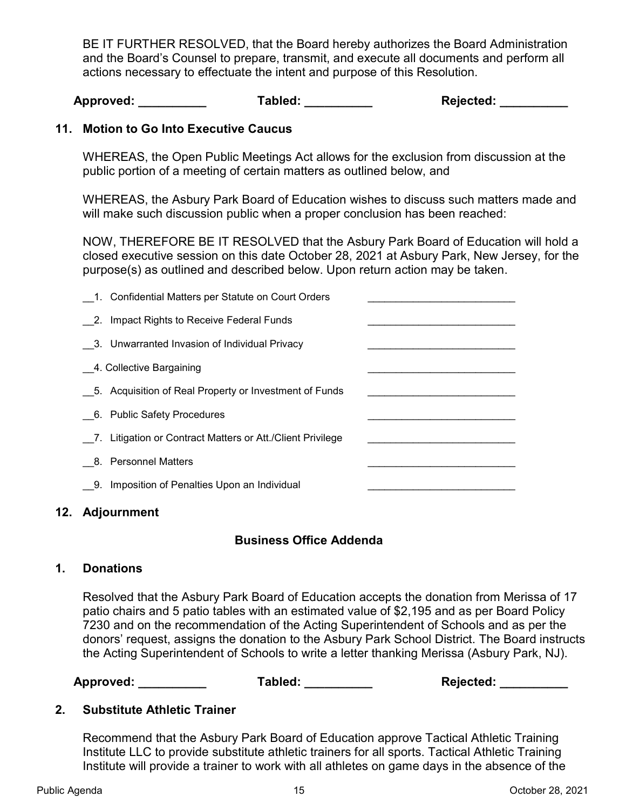BE IT FURTHER RESOLVED, that the Board hereby authorizes the Board Administration and the Board's Counsel to prepare, transmit, and execute all documents and perform all actions necessary to effectuate the intent and purpose of this Resolution.

Approved: \_\_\_\_\_\_\_\_\_\_\_\_\_\_ Tabled: \_\_\_\_\_\_\_\_\_\_\_ Rejected: \_\_\_\_\_\_\_\_\_\_\_

# 11. Motion to Go Into Executive Caucus

WHEREAS, the Open Public Meetings Act allows for the exclusion from discussion at the public portion of a meeting of certain matters as outlined below, and

WHEREAS, the Asbury Park Board of Education wishes to discuss such matters made and will make such discussion public when a proper conclusion has been reached:

NOW, THEREFORE BE IT RESOLVED that the Asbury Park Board of Education will hold a closed executive session on this date October 28, 2021 at Asbury Park, New Jersey, for the purpose(s) as outlined and described below. Upon return action may be taken.

| 1. Confidential Matters per Statute on Court Orders        |  |
|------------------------------------------------------------|--|
| 2. Impact Rights to Receive Federal Funds                  |  |
| 3. Unwarranted Invasion of Individual Privacy              |  |
| 4. Collective Bargaining                                   |  |
| 5. Acquisition of Real Property or Investment of Funds     |  |
| 6. Public Safety Procedures                                |  |
| 7. Litigation or Contract Matters or Att./Client Privilege |  |
| 8. Personnel Matters                                       |  |
| 9. Imposition of Penalties Upon an Individual              |  |

### 12. Adjournment

### Business Office Addenda

### 1. Donations

Resolved that the Asbury Park Board of Education accepts the donation from Merissa of 17 patio chairs and 5 patio tables with an estimated value of \$2,195 and as per Board Policy 7230 and on the recommendation of the Acting Superintendent of Schools and as per the donors' request, assigns the donation to the Asbury Park School District. The Board instructs the Acting Superintendent of Schools to write a letter thanking Merissa (Asbury Park, NJ).

| Approved: | Tabled: | <b>Rejected:</b> |
|-----------|---------|------------------|
|           |         |                  |

### 2. Substitute Athletic Trainer

Recommend that the Asbury Park Board of Education approve Tactical Athletic Training Institute LLC to provide substitute athletic trainers for all sports. Tactical Athletic Training Institute will provide a trainer to work with all athletes on game days in the absence of the